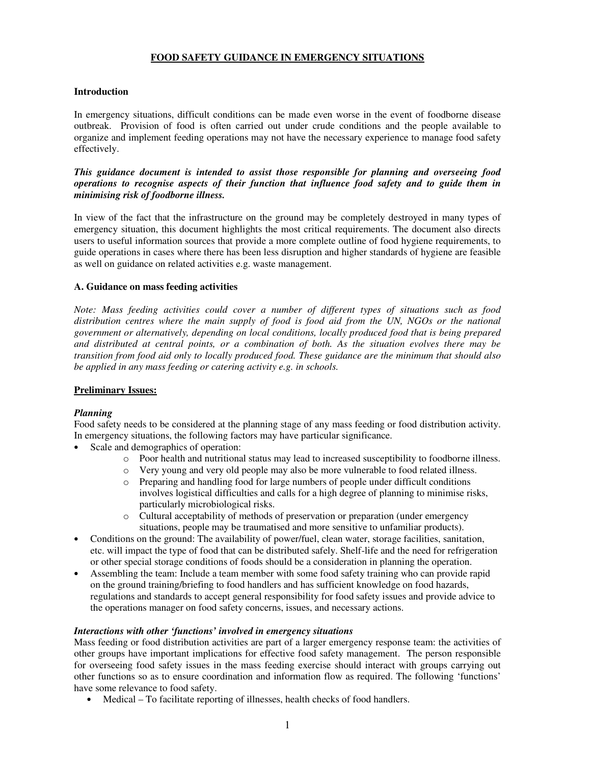### **FOOD SAFETY GUIDANCE IN EMERGENCY SITUATIONS**

### **Introduction**

In emergency situations, difficult conditions can be made even worse in the event of foodborne disease outbreak. Provision of food is often carried out under crude conditions and the people available to organize and implement feeding operations may not have the necessary experience to manage food safety effectively.

*This guidance document is intended to assist those responsible for planning and overseeing food operations to recognise aspects of their function that influence food safety and to guide them in minimising risk of foodborne illness.*

In view of the fact that the infrastructure on the ground may be completely destroyed in many types of emergency situation, this document highlights the most critical requirements. The document also directs users to useful information sources that provide a more complete outline of food hygiene requirements, to guide operations in cases where there has been less disruption and higher standards of hygiene are feasible as well on guidance on related activities e.g. waste management.

### **A. Guidance on mass feeding activities**

*Note: Mass feeding activities could cover a number of different types of situations such as food distribution centres where the main supply of food is food aid from the UN, NGOs or the national government or alternatively, depending on local conditions, locally produced food that is being prepared and distributed at central points, or a combination of both. As the situation evolves there may be transition from food aid only to locally produced food. These guidance are the minimum that should also be applied in any mass feeding or catering activity e.g. in schools.*

### **Preliminary Issues:**

# *Planning*

Food safety needs to be considered at the planning stage of any mass feeding or food distribution activity. In emergency situations, the following factors may have particular significance.

- Scale and demographics of operation:
	- o Poor health and nutritional status may lead to increased susceptibility to foodborne illness.
	- o Very young and very old people may also be more vulnerable to food related illness.
	- o Preparing and handling food for large numbers of people under difficult conditions involves logistical difficulties and calls for a high degree of planning to minimise risks, particularly microbiological risks.
	- o Cultural acceptability of methods of preservation or preparation (under emergency situations, people may be traumatised and more sensitive to unfamiliar products).
- Conditions on the ground: The availability of power/fuel, clean water, storage facilities, sanitation, etc. will impact the type of food that can be distributed safely. Shelf-life and the need for refrigeration or other special storage conditions of foods should be a consideration in planning the operation.
- Assembling the team: Include a team member with some food safety training who can provide rapid on the ground training/briefing to food handlers and has sufficient knowledge on food hazards, regulations and standards to accept general responsibility for food safety issues and provide advice to the operations manager on food safety concerns, issues, and necessary actions.

### *Interactions with other 'functions' involved in emergency situations*

Mass feeding or food distribution activities are part of a larger emergency response team: the activities of other groups have important implications for effective food safety management. The person responsible for overseeing food safety issues in the mass feeding exercise should interact with groups carrying out other functions so as to ensure coordination and information flow as required. The following 'functions' have some relevance to food safety.

• Medical – To facilitate reporting of illnesses, health checks of food handlers.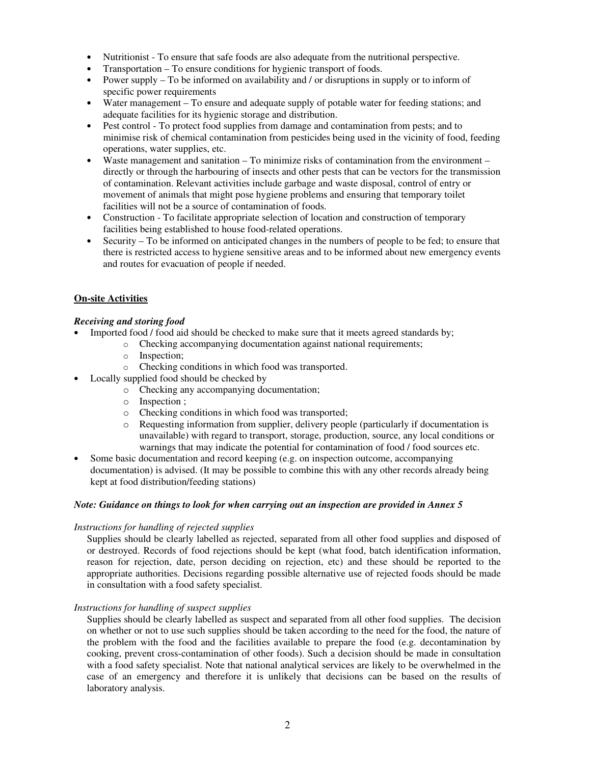- Nutritionist To ensure that safe foods are also adequate from the nutritional perspective.
- Transportation To ensure conditions for hygienic transport of foods.
- Power supply To be informed on availability and / or disruptions in supply or to inform of specific power requirements
- Water management To ensure and adequate supply of potable water for feeding stations; and adequate facilities for its hygienic storage and distribution.
- Pest control To protect food supplies from damage and contamination from pests; and to minimise risk of chemical contamination from pesticides being used in the vicinity of food, feeding operations, water supplies, etc.
- Waste management and sanitation To minimize risks of contamination from the environment directly or through the harbouring of insects and other pests that can be vectors for the transmission of contamination. Relevant activities include garbage and waste disposal, control of entry or movement of animals that might pose hygiene problems and ensuring that temporary toilet facilities will not be a source of contamination of foods.
- Construction To facilitate appropriate selection of location and construction of temporary facilities being established to house food-related operations.
- Security To be informed on anticipated changes in the numbers of people to be fed; to ensure that there is restricted access to hygiene sensitive areas and to be informed about new emergency events and routes for evacuation of people if needed.

### **On-site Activities**

### *Receiving and storing food*

- Imported food / food aid should be checked to make sure that it meets agreed standards by;
	- o Checking accompanying documentation against national requirements;
		- o Inspection;
		- o Checking conditions in which food was transported.
- Locally supplied food should be checked by
	- o Checking any accompanying documentation;
	- o Inspection ;
	- o Checking conditions in which food was transported;
	- o Requesting information from supplier, delivery people (particularly if documentation is unavailable) with regard to transport, storage, production, source, any local conditions or warnings that may indicate the potential for contamination of food / food sources etc.
- Some basic documentation and record keeping (e.g. on inspection outcome, accompanying documentation) is advised. (It may be possible to combine this with any other records already being kept at food distribution/feeding stations)

### *Note: Guidance on things to look for when carrying out an inspection are provided in Annex 5*

### *Instructions for handling of rejected supplies*

Supplies should be clearly labelled as rejected, separated from all other food supplies and disposed of or destroyed. Records of food rejections should be kept (what food, batch identification information, reason for rejection, date, person deciding on rejection, etc) and these should be reported to the appropriate authorities. Decisions regarding possible alternative use of rejected foods should be made in consultation with a food safety specialist.

### *Instructions for handling of suspect supplies*

Supplies should be clearly labelled as suspect and separated from all other food supplies. The decision on whether or not to use such supplies should be taken according to the need for the food, the nature of the problem with the food and the facilities available to prepare the food (e.g. decontamination by cooking, prevent cross-contamination of other foods). Such a decision should be made in consultation with a food safety specialist. Note that national analytical services are likely to be overwhelmed in the case of an emergency and therefore it is unlikely that decisions can be based on the results of laboratory analysis.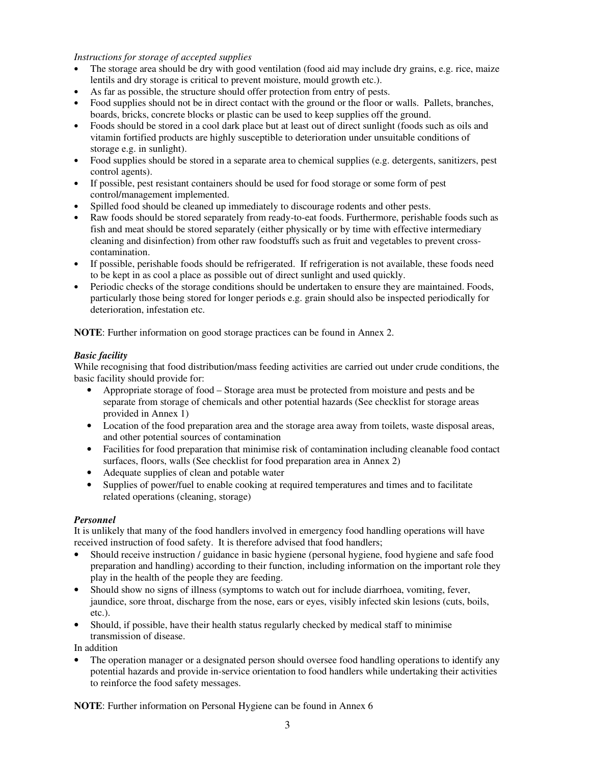*Instructions for storage of accepted supplies*

- The storage area should be dry with good ventilation (food aid may include dry grains, e.g. rice, maize lentils and dry storage is critical to prevent moisture, mould growth etc.).
- As far as possible, the structure should offer protection from entry of pests.
- Food supplies should not be in direct contact with the ground or the floor or walls. Pallets, branches, boards, bricks, concrete blocks or plastic can be used to keep supplies off the ground.
- Foods should be stored in a cool dark place but at least out of direct sunlight (foods such as oils and vitamin fortified products are highly susceptible to deterioration under unsuitable conditions of storage e.g. in sunlight).
- Food supplies should be stored in a separate area to chemical supplies (e.g. detergents, sanitizers, pest control agents).
- If possible, pest resistant containers should be used for food storage or some form of pest control/management implemented.
- Spilled food should be cleaned up immediately to discourage rodents and other pests.
- Raw foods should be stored separately from ready-to-eat foods. Furthermore, perishable foods such as fish and meat should be stored separately (either physically or by time with effective intermediary cleaning and disinfection) from other raw foodstuffs such as fruit and vegetables to prevent crosscontamination.
- If possible, perishable foods should be refrigerated. If refrigeration is not available, these foods need to be kept in as cool a place as possible out of direct sunlight and used quickly.
- Periodic checks of the storage conditions should be undertaken to ensure they are maintained. Foods, particularly those being stored for longer periods e.g. grain should also be inspected periodically for deterioration, infestation etc.

**NOTE**: Further information on good storage practices can be found in Annex 2.

### *Basic facility*

While recognising that food distribution/mass feeding activities are carried out under crude conditions, the basic facility should provide for:

- Appropriate storage of food Storage area must be protected from moisture and pests and be separate from storage of chemicals and other potential hazards (See checklist for storage areas provided in Annex 1)
- Location of the food preparation area and the storage area away from toilets, waste disposal areas, and other potential sources of contamination
- Facilities for food preparation that minimise risk of contamination including cleanable food contact surfaces, floors, walls (See checklist for food preparation area in Annex 2)
- Adequate supplies of clean and potable water
- Supplies of power/fuel to enable cooking at required temperatures and times and to facilitate related operations (cleaning, storage)

# *Personnel*

It is unlikely that many of the food handlers involved in emergency food handling operations will have received instruction of food safety. It is therefore advised that food handlers;

- Should receive instruction / guidance in basic hygiene (personal hygiene, food hygiene and safe food preparation and handling) according to their function, including information on the important role they play in the health of the people they are feeding.
- Should show no signs of illness (symptoms to watch out for include diarrhoea, vomiting, fever, jaundice, sore throat, discharge from the nose, ears or eyes, visibly infected skin lesions (cuts, boils, etc.).
- Should, if possible, have their health status regularly checked by medical staff to minimise transmission of disease.

In addition

• The operation manager or a designated person should oversee food handling operations to identify any potential hazards and provide in-service orientation to food handlers while undertaking their activities to reinforce the food safety messages.

**NOTE**: Further information on Personal Hygiene can be found in Annex 6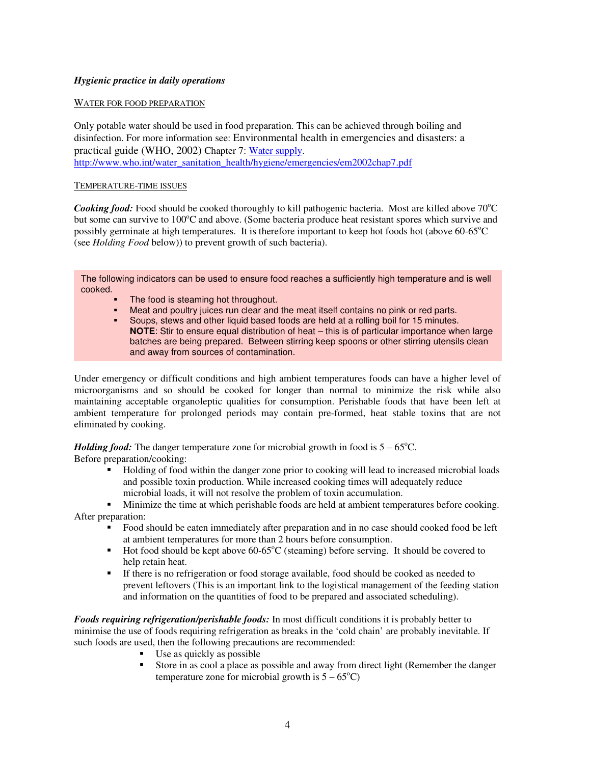# *Hygienic practice in daily operations*

### WATER FOR FOOD PREPARATION

Only potable water should be used in food preparation. This can be achieved through boiling and disinfection. For more information see: Environmental health in emergencies and disasters: a practical guide (WHO, 2002) Chapter 7: Water supply. [http://www.who.int/water\\_sanitation\\_health/hygiene/emergencies/em2002chap7.pdf](http://www.who.int/water_sanitation_health/hygiene/emergencies/em2002chap7.pdf)

### TEMPERATURE-TIME ISSUES

Cooking food: Food should be cooked thoroughly to kill pathogenic bacteria. Most are killed above 70°C but some can survive to 100°C and above. (Some bacteria produce heat resistant spores which survive and possibly germinate at high temperatures. It is therefore important to keep hot foods hot (above 60-65°C (see *Holding Food* below)) to prevent growth of such bacteria).

The following indicators can be used to ensure food reaches a sufficiently high temperature and is well cooked.

- The food is steaming hot throughout.
- Meat and poultry juices run clear and the meat itself contains no pink or red parts.
- Soups, stews and other liquid based foods are held at a rolling boil for 15 minutes. **NOTE**: Stir to ensure equal distribution of heat – this is of particular importance when large batches are being prepared. Between stirring keep spoons or other stirring utensils clean and away from sources of contamination.

Under emergency or difficult conditions and high ambient temperatures foods can have a higher level of microorganisms and so should be cooked for longer than normal to minimize the risk while also maintaining acceptable organoleptic qualities for consumption. Perishable foods that have been left at ambient temperature for prolonged periods may contain pre-formed, heat stable toxins that are not eliminated by cooking.

*Holding food:* The danger temperature zone for microbial growth in food is  $5 - 65^{\circ}$ C. Before preparation/cooking:

> Holding of food within the danger zone prior to cooking will lead to increased microbial loads and possible toxin production. While increased cooking times will adequately reduce microbial loads, it will not resolve the problem of toxin accumulation.

 Minimize the time at which perishable foods are held at ambient temperatures before cooking. After preparation:

- Food should be eaten immediately after preparation and in no case should cooked food be left at ambient temperatures for more than 2 hours before consumption.
- Hot food should be kept above 60-65°C (steaming) before serving. It should be covered to help retain heat.
- If there is no refrigeration or food storage available, food should be cooked as needed to prevent leftovers (This is an important link to the logistical management of the feeding station and information on the quantities of food to be prepared and associated scheduling).

*Foods requiring refrigeration/perishable foods:* In most difficult conditions it is probably better to minimise the use of foods requiring refrigeration as breaks in the 'cold chain' are probably inevitable. If such foods are used, then the following precautions are recommended:

- $\blacksquare$  Use as quickly as possible
- Store in as cool a place as possible and away from direct light (Remember the danger temperature zone for microbial growth is  $5 - 65^{\circ}$ C)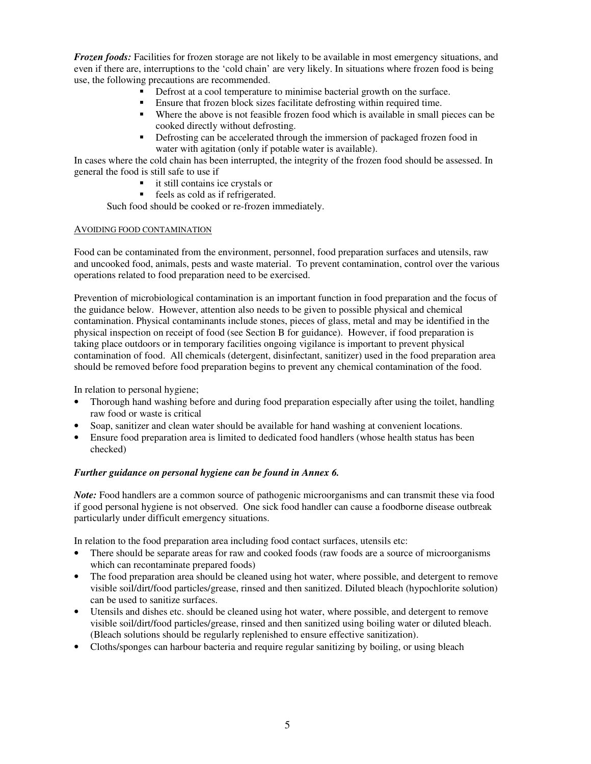*Frozen foods:* Facilities for frozen storage are not likely to be available in most emergency situations, and even if there are, interruptions to the 'cold chain' are very likely. In situations where frozen food is being use, the following precautions are recommended.

- Defrost at a cool temperature to minimise bacterial growth on the surface.
- Ensure that frozen block sizes facilitate defrosting within required time.
- Where the above is not feasible frozen food which is available in small pieces can be cooked directly without defrosting.
- Defrosting can be accelerated through the immersion of packaged frozen food in water with agitation (only if potable water is available).

In cases where the cold chain has been interrupted, the integrity of the frozen food should be assessed. In general the food is still safe to use if

- it still contains ice crystals or
- feels as cold as if refrigerated.

Such food should be cooked or re-frozen immediately.

### AVOIDING FOOD CONTAMINATION

Food can be contaminated from the environment, personnel, food preparation surfaces and utensils, raw and uncooked food, animals, pests and waste material. To prevent contamination, control over the various operations related to food preparation need to be exercised.

Prevention of microbiological contamination is an important function in food preparation and the focus of the guidance below. However, attention also needs to be given to possible physical and chemical contamination. Physical contaminants include stones, pieces of glass, metal and may be identified in the physical inspection on receipt of food (see Section B for guidance). However, if food preparation is taking place outdoors or in temporary facilities ongoing vigilance is important to prevent physical contamination of food. All chemicals (detergent, disinfectant, sanitizer) used in the food preparation area should be removed before food preparation begins to prevent any chemical contamination of the food.

In relation to personal hygiene;

- Thorough hand washing before and during food preparation especially after using the toilet, handling raw food or waste is critical
- Soap, sanitizer and clean water should be available for hand washing at convenient locations.
- Ensure food preparation area is limited to dedicated food handlers (whose health status has been checked)

### *Further guidance on personal hygiene can be found in Annex 6.*

*Note:* Food handlers are a common source of pathogenic microorganisms and can transmit these via food if good personal hygiene is not observed. One sick food handler can cause a foodborne disease outbreak particularly under difficult emergency situations.

In relation to the food preparation area including food contact surfaces, utensils etc:

- There should be separate areas for raw and cooked foods (raw foods are a source of microorganisms) which can recontaminate prepared foods)
- The food preparation area should be cleaned using hot water, where possible, and detergent to remove visible soil/dirt/food particles/grease, rinsed and then sanitized. Diluted bleach (hypochlorite solution) can be used to sanitize surfaces.
- Utensils and dishes etc. should be cleaned using hot water, where possible, and detergent to remove visible soil/dirt/food particles/grease, rinsed and then sanitized using boiling water or diluted bleach. (Bleach solutions should be regularly replenished to ensure effective sanitization).
- Cloths/sponges can harbour bacteria and require regular sanitizing by boiling, or using bleach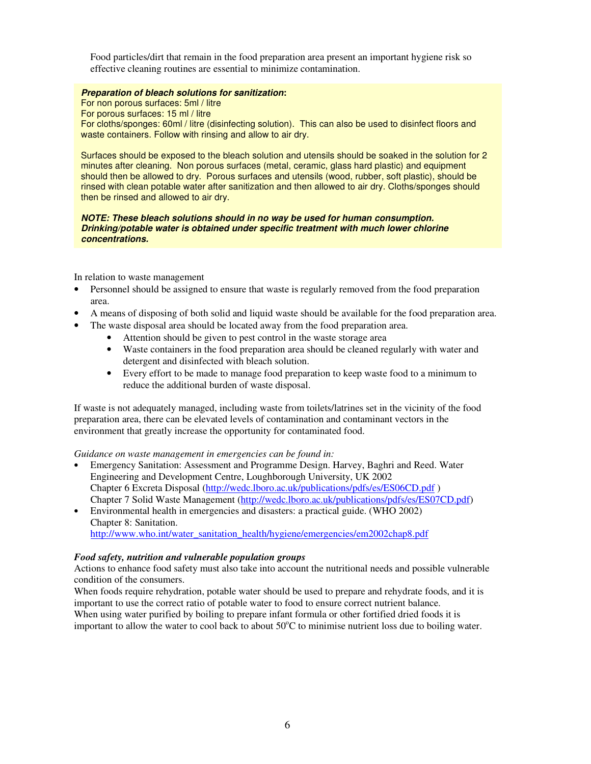Food particles/dirt that remain in the food preparation area present an important hygiene risk so effective cleaning routines are essential to minimize contamination.

#### *Preparation of bleach solutions for sanitization***:**

For non porous surfaces: 5ml / litre For porous surfaces: 15 ml / litre For cloths/sponges: 60ml / litre (disinfecting solution). This can also be used to disinfect floors and waste containers. Follow with rinsing and allow to air dry.

Surfaces should be exposed to the bleach solution and utensils should be soaked in the solution for 2 minutes after cleaning. Non porous surfaces (metal, ceramic, glass hard plastic) and equipment should then be allowed to dry. Porous surfaces and utensils (wood, rubber, soft plastic), should be rinsed with clean potable water after sanitization and then allowed to air dry. Cloths/sponges should then be rinsed and allowed to air dry.

#### *NOTE: These bleach solutions should in no way be used for human consumption. Drinking/potable water is obtained under specific treatment with much lower chlorine concentrations.*

In relation to waste management

- Personnel should be assigned to ensure that waste is regularly removed from the food preparation area.
- A means of disposing of both solid and liquid waste should be available for the food preparation area.
- The waste disposal area should be located away from the food preparation area.
	- Attention should be given to pest control in the waste storage area
	- Waste containers in the food preparation area should be cleaned regularly with water and detergent and disinfected with bleach solution.
	- Every effort to be made to manage food preparation to keep waste food to a minimum to reduce the additional burden of waste disposal.

If waste is not adequately managed, including waste from toilets/latrines set in the vicinity of the food preparation area, there can be elevated levels of contamination and contaminant vectors in the environment that greatly increase the opportunity for contaminated food.

*Guidance on waste management in emergencies can be found in:*

- Emergency Sanitation: Assessment and Programme Design. Harvey, Baghri and Reed. Water Engineering and Development Centre, Loughborough University, UK 2002 Chapter 6 Excreta Disposal [\(http://wedc.lboro.ac.uk/publications/pdfs/es/ES06CD.pdf](http://wedc.lboro.ac.uk/publications/pdfs/es/ES06CD.pdf) ) Chapter 7 Solid Waste Management [\(http://wedc.lboro.ac.uk/publications/pdfs/es/ES07CD.pdf\)](http://wedc.lboro.ac.uk/publications/pdfs/es/ES07CD.pdf)
- Environmental health in emergencies and disasters: a practical guide. (WHO 2002) Chapter 8: Sanitation.

[http://www.who.int/water\\_sanitation\\_health/hygiene/emergencies/em2002chap8.pdf](http://www.who.int/water_sanitation_health/hygiene/emergencies/em2002chap8.pdf)

### *Food safety, nutrition and vulnerable population groups*

Actions to enhance food safety must also take into account the nutritional needs and possible vulnerable condition of the consumers.

When foods require rehydration, potable water should be used to prepare and rehydrate foods, and it is important to use the correct ratio of potable water to food to ensure correct nutrient balance. When using water purified by boiling to prepare infant formula or other fortified dried foods it is important to allow the water to cool back to about  $50^{\circ}$ C to minimise nutrient loss due to boiling water.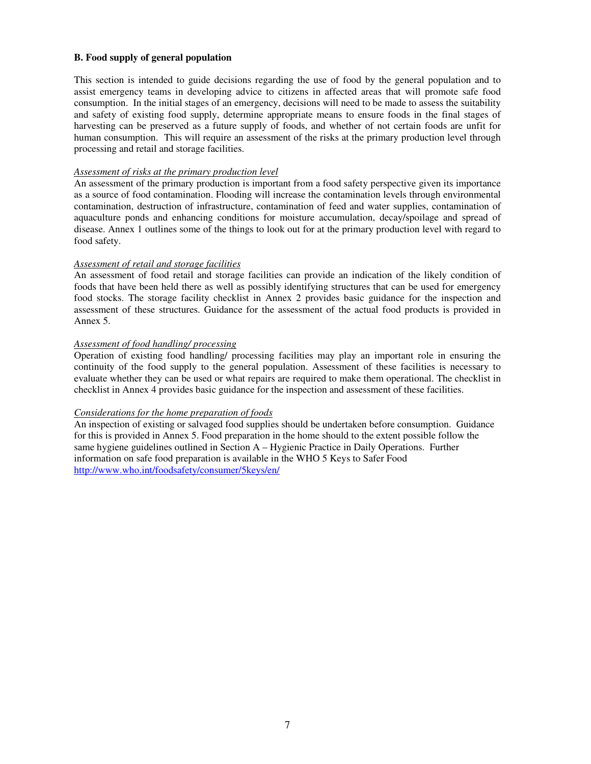### **B. Food supply of general population**

This section is intended to guide decisions regarding the use of food by the general population and to assist emergency teams in developing advice to citizens in affected areas that will promote safe food consumption. In the initial stages of an emergency, decisions will need to be made to assess the suitability and safety of existing food supply, determine appropriate means to ensure foods in the final stages of harvesting can be preserved as a future supply of foods, and whether of not certain foods are unfit for human consumption. This will require an assessment of the risks at the primary production level through processing and retail and storage facilities.

#### *Assessment of risks at the primary production level*

An assessment of the primary production is important from a food safety perspective given its importance as a source of food contamination. Flooding will increase the contamination levels through environmental contamination, destruction of infrastructure, contamination of feed and water supplies, contamination of aquaculture ponds and enhancing conditions for moisture accumulation, decay/spoilage and spread of disease. Annex 1 outlines some of the things to look out for at the primary production level with regard to food safety.

#### *Assessment of retail and storage facilities*

An assessment of food retail and storage facilities can provide an indication of the likely condition of foods that have been held there as well as possibly identifying structures that can be used for emergency food stocks. The storage facility checklist in Annex 2 provides basic guidance for the inspection and assessment of these structures. Guidance for the assessment of the actual food products is provided in Annex 5.

#### *Assessment of food handling/ processing*

Operation of existing food handling/ processing facilities may play an important role in ensuring the continuity of the food supply to the general population. Assessment of these facilities is necessary to evaluate whether they can be used or what repairs are required to make them operational. The checklist in checklist in Annex 4 provides basic guidance for the inspection and assessment of these facilities.

### *Considerations for the home preparation of foods*

An inspection of existing or salvaged food supplies should be undertaken before consumption. Guidance for this is provided in Annex 5. Food preparation in the home should to the extent possible follow the same hygiene guidelines outlined in Section A – Hygienic Practice in Daily Operations. Further information on safe food preparation is available in the WHO 5 Keys to Safer Food <http://www.who.int/foodsafety/consumer/5keys/en/>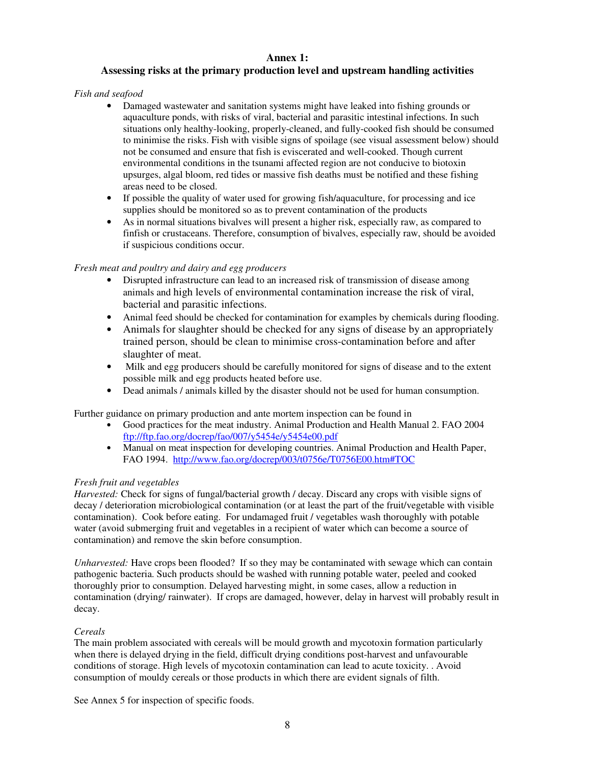# **Annex 1:**

# **Assessing risks at the primary production level and upstream handling activities**

*Fish and seafood*

- Damaged wastewater and sanitation systems might have leaked into fishing grounds or aquaculture ponds, with risks of viral, bacterial and parasitic intestinal infections. In such situations only healthy-looking, properly-cleaned, and fully-cooked fish should be consumed to minimise the risks. Fish with visible signs of spoilage (see visual assessment below) should not be consumed and ensure that fish is eviscerated and well-cooked. Though current environmental conditions in the tsunami affected region are not conducive to biotoxin upsurges, algal bloom, red tides or massive fish deaths must be notified and these fishing areas need to be closed.
- If possible the quality of water used for growing fish/aquaculture, for processing and ice supplies should be monitored so as to prevent contamination of the products
- As in normal situations bivalves will present a higher risk, especially raw, as compared to finfish or crustaceans. Therefore, consumption of bivalves, especially raw, should be avoided if suspicious conditions occur.

# *Fresh meat and poultry and dairy and egg producers*

- Disrupted infrastructure can lead to an increased risk of transmission of disease among animals and high levels of environmental contamination increase the risk of viral, bacterial and parasitic infections.
- Animal feed should be checked for contamination for examples by chemicals during flooding.
- Animals for slaughter should be checked for any signs of disease by an appropriately trained person, should be clean to minimise cross-contamination before and after slaughter of meat.
- Milk and egg producers should be carefully monitored for signs of disease and to the extent possible milk and egg products heated before use.
- Dead animals / animals killed by the disaster should not be used for human consumption.

Further guidance on primary production and ante mortem inspection can be found in

- Good practices for the meat industry. Animal Production and Health Manual 2. FAO 2004 <ftp://ftp.fao.org/docrep/fao/007/y5454e/y5454e00.pdf>
- Manual on meat inspection for developing countries. Animal Production and Health Paper, FAO 1994. <http://www.fao.org/docrep/003/t0756e/T0756E00.htm#TOC>

# *Fresh fruit and vegetables*

*Harvested:* Check for signs of fungal/bacterial growth / decay. Discard any crops with visible signs of decay / deterioration microbiological contamination (or at least the part of the fruit/vegetable with visible contamination). Cook before eating. For undamaged fruit / vegetables wash thoroughly with potable water (avoid submerging fruit and vegetables in a recipient of water which can become a source of contamination) and remove the skin before consumption.

*Unharvested:* Have crops been flooded? If so they may be contaminated with sewage which can contain pathogenic bacteria. Such products should be washed with running potable water, peeled and cooked thoroughly prior to consumption. Delayed harvesting might, in some cases, allow a reduction in contamination (drying/ rainwater). If crops are damaged, however, delay in harvest will probably result in decay.

# *Cereals*

The main problem associated with cereals will be mould growth and mycotoxin formation particularly when there is delayed drying in the field, difficult drying conditions post-harvest and unfavourable conditions of storage. High levels of mycotoxin contamination can lead to acute toxicity. . Avoid consumption of mouldy cereals or those products in which there are evident signals of filth.

See Annex 5 for inspection of specific foods.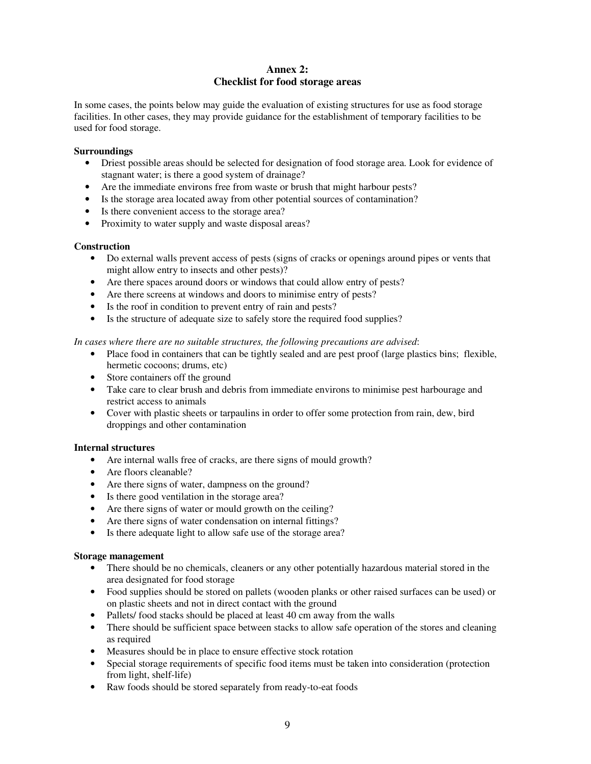# **Annex 2: Checklist for food storage areas**

In some cases, the points below may guide the evaluation of existing structures for use as food storage facilities. In other cases, they may provide guidance for the establishment of temporary facilities to be used for food storage.

### **Surroundings**

- Driest possible areas should be selected for designation of food storage area. Look for evidence of stagnant water; is there a good system of drainage?
- Are the immediate environs free from waste or brush that might harbour pests?
- Is the storage area located away from other potential sources of contamination?
- Is there convenient access to the storage area?
- Proximity to water supply and waste disposal areas?

### **Construction**

- Do external walls prevent access of pests (signs of cracks or openings around pipes or vents that might allow entry to insects and other pests)?
- Are there spaces around doors or windows that could allow entry of pests?
- Are there screens at windows and doors to minimise entry of pests?
- Is the roof in condition to prevent entry of rain and pests?
- Is the structure of adequate size to safely store the required food supplies?

*In cases where there are no suitable structures, the following precautions are advised*:

- Place food in containers that can be tightly sealed and are pest proof (large plastics bins; flexible, hermetic cocoons; drums, etc)
- Store containers off the ground
- Take care to clear brush and debris from immediate environs to minimise pest harbourage and restrict access to animals
- Cover with plastic sheets or tarpaulins in order to offer some protection from rain, dew, bird droppings and other contamination

### **Internal structures**

- Are internal walls free of cracks, are there signs of mould growth?
- Are floors cleanable?
- Are there signs of water, dampness on the ground?
- Is there good ventilation in the storage area?
- Are there signs of water or mould growth on the ceiling?
- Are there signs of water condensation on internal fittings?
- Is there adequate light to allow safe use of the storage area?

### **Storage management**

- There should be no chemicals, cleaners or any other potentially hazardous material stored in the area designated for food storage
- Food supplies should be stored on pallets (wooden planks or other raised surfaces can be used) or on plastic sheets and not in direct contact with the ground
- Pallets/ food stacks should be placed at least 40 cm away from the walls
- There should be sufficient space between stacks to allow safe operation of the stores and cleaning as required
- Measures should be in place to ensure effective stock rotation
- Special storage requirements of specific food items must be taken into consideration (protection from light, shelf-life)
- Raw foods should be stored separately from ready-to-eat foods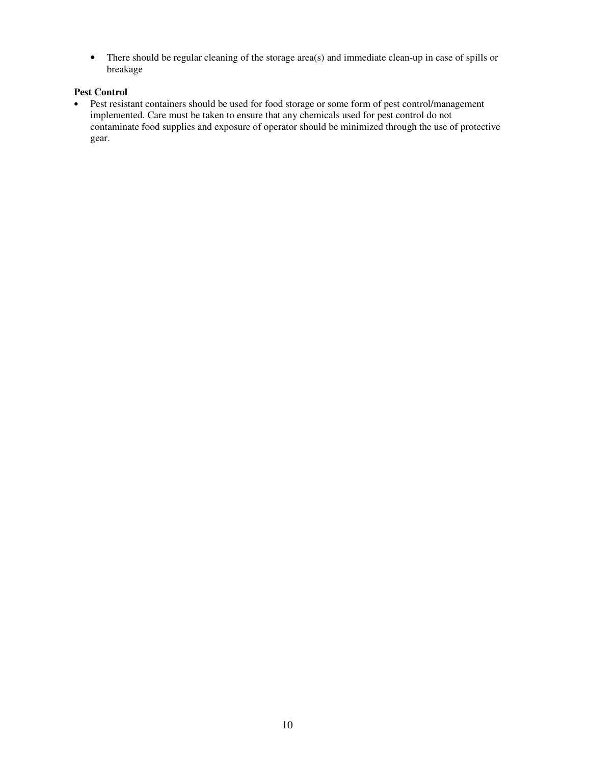• There should be regular cleaning of the storage area(s) and immediate clean-up in case of spills or breakage

### **Pest Control**

• Pest resistant containers should be used for food storage or some form of pest control/management implemented. Care must be taken to ensure that any chemicals used for pest control do not contaminate food supplies and exposure of operator should be minimized through the use of protective gear.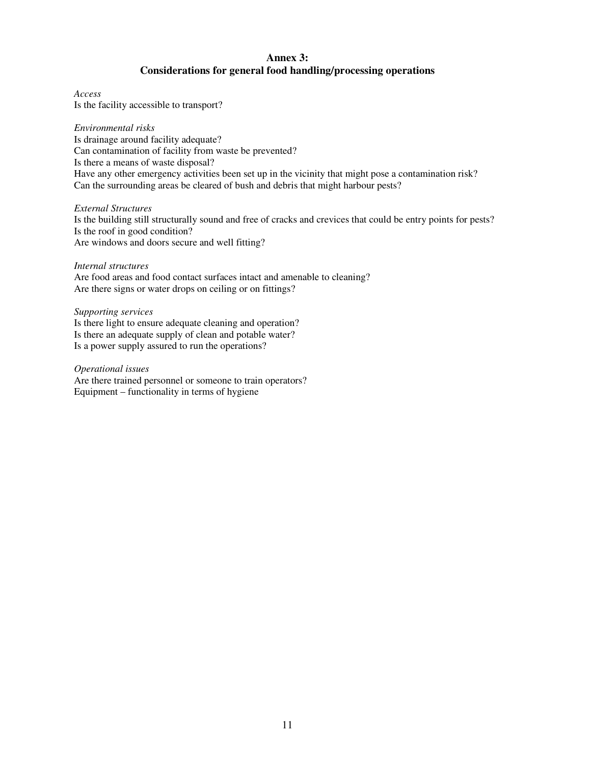# **Annex 3: Considerations for general food handling/processing operations**

*Access* Is the facility accessible to transport?

*Environmental risks* Is drainage around facility adequate? Can contamination of facility from waste be prevented? Is there a means of waste disposal? Have any other emergency activities been set up in the vicinity that might pose a contamination risk? Can the surrounding areas be cleared of bush and debris that might harbour pests?

*External Structures* Is the building still structurally sound and free of cracks and crevices that could be entry points for pests? Is the roof in good condition? Are windows and doors secure and well fitting?

#### *Internal structures*

Are food areas and food contact surfaces intact and amenable to cleaning? Are there signs or water drops on ceiling or on fittings?

#### *Supporting services*

Is there light to ensure adequate cleaning and operation? Is there an adequate supply of clean and potable water? Is a power supply assured to run the operations?

*Operational issues*

Are there trained personnel or someone to train operators? Equipment – functionality in terms of hygiene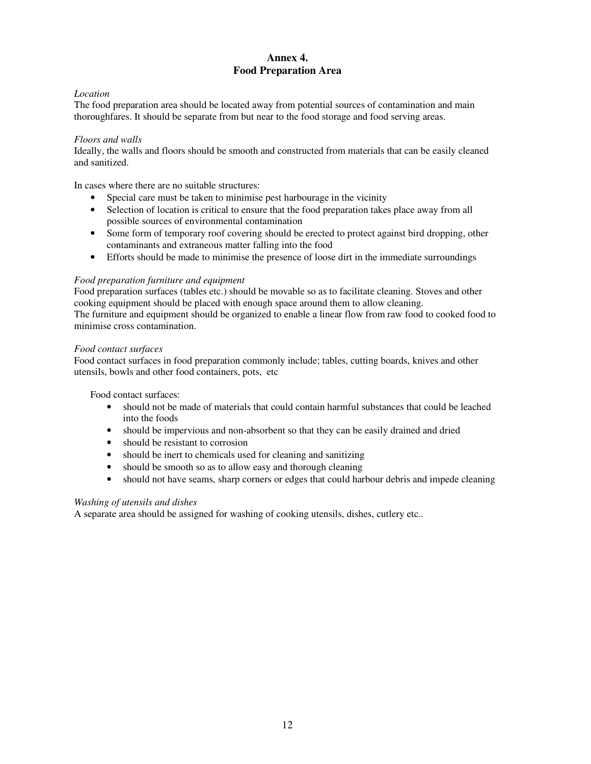# **Annex 4. Food Preparation Area**

# *Location*

The food preparation area should be located away from potential sources of contamination and main thoroughfares. It should be separate from but near to the food storage and food serving areas.

### *Floors and walls*

Ideally, the walls and floors should be smooth and constructed from materials that can be easily cleaned and sanitized.

In cases where there are no suitable structures:

- Special care must be taken to minimise pest harbourage in the vicinity
- Selection of location is critical to ensure that the food preparation takes place away from all possible sources of environmental contamination
- Some form of temporary roof covering should be erected to protect against bird dropping, other contaminants and extraneous matter falling into the food
- Efforts should be made to minimise the presence of loose dirt in the immediate surroundings

### *Food preparation furniture and equipment*

Food preparation surfaces (tables etc.) should be movable so as to facilitate cleaning. Stoves and other cooking equipment should be placed with enough space around them to allow cleaning. The furniture and equipment should be organized to enable a linear flow from raw food to cooked food to minimise cross contamination.

### *Food contact surfaces*

Food contact surfaces in food preparation commonly include; tables, cutting boards, knives and other utensils, bowls and other food containers, pots, etc

Food contact surfaces:

- should not be made of materials that could contain harmful substances that could be leached into the foods
- should be impervious and non-absorbent so that they can be easily drained and dried
- should be resistant to corrosion
- should be inert to chemicals used for cleaning and sanitizing
- should be smooth so as to allow easy and thorough cleaning
- should not have seams, sharp corners or edges that could harbour debris and impede cleaning

# *Washing of utensils and dishes*

A separate area should be assigned for washing of cooking utensils, dishes, cutlery etc..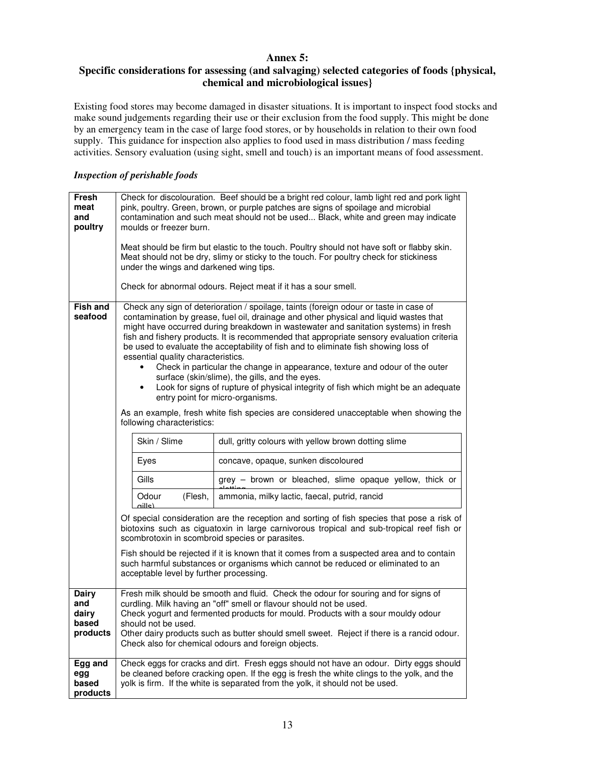# **Annex 5:**

# **Specific considerations for assessing (and salvaging) selected categories of foods {physical, chemical and microbiological issues}**

Existing food stores may become damaged in disaster situations. It is important to inspect food stocks and make sound judgements regarding their use or their exclusion from the food supply. This might be done by an emergency team in the case of large food stores, or by households in relation to their own food supply. This guidance for inspection also applies to food used in mass distribution / mass feeding activities. Sensory evaluation (using sight, smell and touch) is an important means of food assessment.

## *Inspection of perishable foods*

| Fresh<br>meat<br>and<br>poultry                   | Check for discolouration. Beef should be a bright red colour, lamb light red and pork light<br>pink, poultry. Green, brown, or purple patches are signs of spoilage and microbial<br>contamination and such meat should not be used Black, white and green may indicate<br>moulds or freezer burn.<br>Meat should be firm but elastic to the touch. Poultry should not have soft or flabby skin.<br>Meat should not be dry, slimy or sticky to the touch. For poultry check for stickiness<br>under the wings and darkened wing tips.<br>Check for abnormal odours. Reject meat if it has a sour smell.                                                                                                                                                                                                                                                                       |                                                                                             |
|---------------------------------------------------|-------------------------------------------------------------------------------------------------------------------------------------------------------------------------------------------------------------------------------------------------------------------------------------------------------------------------------------------------------------------------------------------------------------------------------------------------------------------------------------------------------------------------------------------------------------------------------------------------------------------------------------------------------------------------------------------------------------------------------------------------------------------------------------------------------------------------------------------------------------------------------|---------------------------------------------------------------------------------------------|
| <b>Fish and</b><br>seafood                        | Check any sign of deterioration / spoilage, taints (foreign odour or taste in case of<br>contamination by grease, fuel oil, drainage and other physical and liquid wastes that<br>might have occurred during breakdown in wastewater and sanitation systems) in fresh<br>fish and fishery products. It is recommended that appropriate sensory evaluation criteria<br>be used to evaluate the acceptability of fish and to eliminate fish showing loss of<br>essential quality characteristics.<br>Check in particular the change in appearance, texture and odour of the outer<br>$\bullet$<br>surface (skin/slime), the gills, and the eyes.<br>Look for signs of rupture of physical integrity of fish which might be an adequate<br>$\bullet$<br>entry point for micro-organisms.<br>As an example, fresh white fish species are considered unacceptable when showing the |                                                                                             |
|                                                   | following characteristics:<br>Skin / Slime                                                                                                                                                                                                                                                                                                                                                                                                                                                                                                                                                                                                                                                                                                                                                                                                                                    |                                                                                             |
|                                                   | Eyes                                                                                                                                                                                                                                                                                                                                                                                                                                                                                                                                                                                                                                                                                                                                                                                                                                                                          | dull, gritty colours with yellow brown dotting slime<br>concave, opaque, sunken discoloured |
|                                                   | Gills                                                                                                                                                                                                                                                                                                                                                                                                                                                                                                                                                                                                                                                                                                                                                                                                                                                                         | grey - brown or bleached, slime opaque yellow, thick or                                     |
|                                                   | (Flesh,<br>Odour                                                                                                                                                                                                                                                                                                                                                                                                                                                                                                                                                                                                                                                                                                                                                                                                                                                              | ammonia, milky lactic, faecal, putrid, rancid                                               |
|                                                   | $n$ ille)<br>Of special consideration are the reception and sorting of fish species that pose a risk of<br>biotoxins such as ciguatoxin in large carnivorous tropical and sub-tropical reef fish or<br>scombrotoxin in scombroid species or parasites.                                                                                                                                                                                                                                                                                                                                                                                                                                                                                                                                                                                                                        |                                                                                             |
|                                                   | Fish should be rejected if it is known that it comes from a suspected area and to contain<br>such harmful substances or organisms which cannot be reduced or eliminated to an<br>acceptable level by further processing.                                                                                                                                                                                                                                                                                                                                                                                                                                                                                                                                                                                                                                                      |                                                                                             |
| <b>Dairy</b><br>and<br>dairy<br>based<br>products | Fresh milk should be smooth and fluid. Check the odour for souring and for signs of<br>curdling. Milk having an "off" smell or flavour should not be used.<br>Check yogurt and fermented products for mould. Products with a sour mouldy odour<br>should not be used.<br>Other dairy products such as butter should smell sweet. Reject if there is a rancid odour.<br>Check also for chemical odours and foreign objects.                                                                                                                                                                                                                                                                                                                                                                                                                                                    |                                                                                             |
| Egg and<br>egg<br>based<br>products               | Check eggs for cracks and dirt. Fresh eggs should not have an odour. Dirty eggs should<br>be cleaned before cracking open. If the egg is fresh the white clings to the yolk, and the<br>yolk is firm. If the white is separated from the yolk, it should not be used.                                                                                                                                                                                                                                                                                                                                                                                                                                                                                                                                                                                                         |                                                                                             |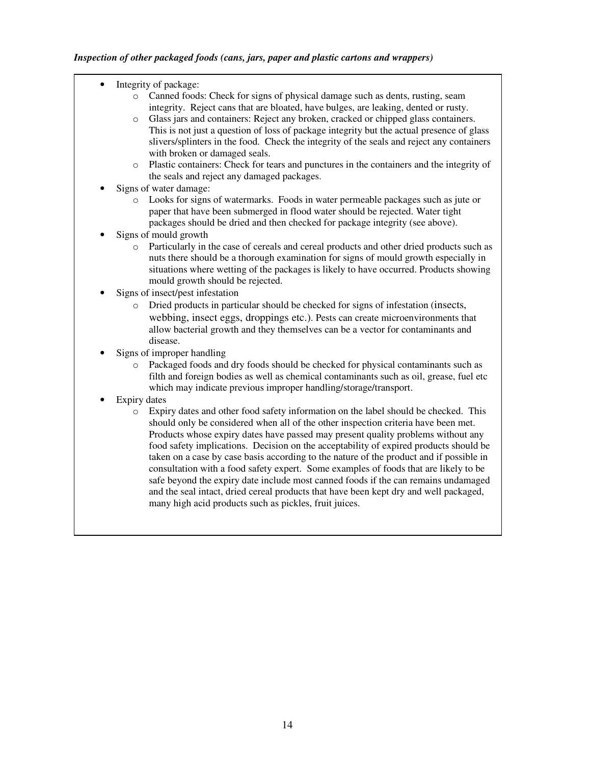- Integrity of package:
	- o Canned foods: Check for signs of physical damage such as dents, rusting, seam integrity. Reject cans that are bloated, have bulges, are leaking, dented or rusty.
	- Glass jars and containers: Reject any broken, cracked or chipped glass containers. This is not just a question of loss of package integrity but the actual presence of glass slivers/splinters in the food. Check the integrity of the seals and reject any containers with broken or damaged seals.
	- o Plastic containers: Check for tears and punctures in the containers and the integrity of the seals and reject any damaged packages.
- Signs of water damage:
	- o Looks for signs of watermarks. Foods in water permeable packages such as jute or paper that have been submerged in flood water should be rejected. Water tight packages should be dried and then checked for package integrity (see above).
- Signs of mould growth
	- o Particularly in the case of cereals and cereal products and other dried products such as nuts there should be a thorough examination for signs of mould growth especially in situations where wetting of the packages is likely to have occurred. Products showing mould growth should be rejected.
- Signs of insect/pest infestation
	- o Dried products in particular should be checked for signs of infestation (insects, webbing, insect eggs, droppings etc.). Pests can create microenvironments that allow bacterial growth and they themselves can be a vector for contaminants and disease.
- Signs of improper handling
	- o Packaged foods and dry foods should be checked for physical contaminants such as filth and foreign bodies as well as chemical contaminants such as oil, grease, fuel etc which may indicate previous improper handling/storage/transport.
- **Expiry dates** 
	- o Expiry dates and other food safety information on the label should be checked. This should only be considered when all of the other inspection criteria have been met. Products whose expiry dates have passed may present quality problems without any food safety implications. Decision on the acceptability of expired products should be taken on a case by case basis according to the nature of the product and if possible in consultation with a food safety expert. Some examples of foods that are likely to be safe beyond the expiry date include most canned foods if the can remains undamaged and the seal intact, dried cereal products that have been kept dry and well packaged, many high acid products such as pickles, fruit juices.